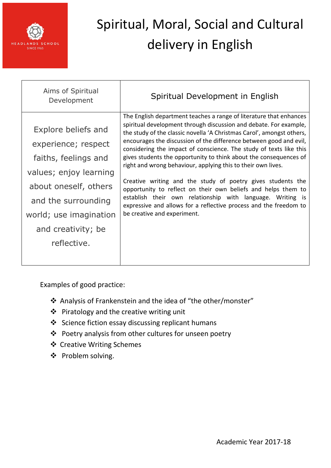

| Aims of Spiritual<br>Development                                                                                                                                                                            | Spiritual Development in English                                                                                                                                                                                                                                                                                                                                                                                                                                                                                                                                                                                                                                                                                                                                                                    |
|-------------------------------------------------------------------------------------------------------------------------------------------------------------------------------------------------------------|-----------------------------------------------------------------------------------------------------------------------------------------------------------------------------------------------------------------------------------------------------------------------------------------------------------------------------------------------------------------------------------------------------------------------------------------------------------------------------------------------------------------------------------------------------------------------------------------------------------------------------------------------------------------------------------------------------------------------------------------------------------------------------------------------------|
| Explore beliefs and<br>experience; respect<br>faiths, feelings and<br>values; enjoy learning<br>about oneself, others<br>and the surrounding<br>world; use imagination<br>and creativity; be<br>reflective. | The English department teaches a range of literature that enhances<br>spiritual development through discussion and debate. For example,<br>the study of the classic novella 'A Christmas Carol', amongst others,<br>encourages the discussion of the difference between good and evil,<br>considering the impact of conscience. The study of texts like this<br>gives students the opportunity to think about the consequences of<br>right and wrong behaviour, applying this to their own lives.<br>Creative writing and the study of poetry gives students the<br>opportunity to reflect on their own beliefs and helps them to<br>establish their own relationship with language. Writing is<br>expressive and allows for a reflective process and the freedom to<br>be creative and experiment. |
|                                                                                                                                                                                                             |                                                                                                                                                                                                                                                                                                                                                                                                                                                                                                                                                                                                                                                                                                                                                                                                     |

- Analysis of Frankenstein and the idea of "the other/monster"
- $\triangleq$  Piratology and the creative writing unit
- Science fiction essay discussing replicant humans
- Poetry analysis from other cultures for unseen poetry
- Creative Writing Schemes
- ❖ Problem solving.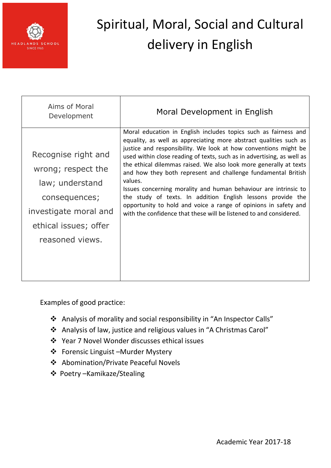

| Aims of Moral<br>Development                                                                                                                       | Moral Development in English                                                                                                                                                                                                                                                                                                                                                                                                                                                                                                                                                                                                                                                                                  |
|----------------------------------------------------------------------------------------------------------------------------------------------------|---------------------------------------------------------------------------------------------------------------------------------------------------------------------------------------------------------------------------------------------------------------------------------------------------------------------------------------------------------------------------------------------------------------------------------------------------------------------------------------------------------------------------------------------------------------------------------------------------------------------------------------------------------------------------------------------------------------|
| Recognise right and<br>wrong; respect the<br>law; understand<br>consequences;<br>investigate moral and<br>ethical issues; offer<br>reasoned views. | Moral education in English includes topics such as fairness and<br>equality, as well as appreciating more abstract qualities such as<br>justice and responsibility. We look at how conventions might be<br>used within close reading of texts, such as in advertising, as well as<br>the ethical dilemmas raised. We also look more generally at texts<br>and how they both represent and challenge fundamental British<br>values.<br>Issues concerning morality and human behaviour are intrinsic to<br>the study of texts. In addition English lessons provide the<br>opportunity to hold and voice a range of opinions in safety and<br>with the confidence that these will be listened to and considered. |

- Analysis of morality and social responsibility in "An Inspector Calls"
- Analysis of law, justice and religious values in "A Christmas Carol"
- Year 7 Novel Wonder discusses ethical issues
- Forensic Linguist –Murder Mystery
- Abomination/Private Peaceful Novels
- Poetry –Kamikaze/Stealing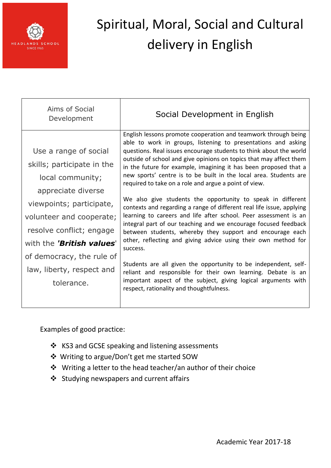

| Aims of Social<br>Development                                                                                                                                                                                                                                                          | Social Development in English                                                                                                                                                                                                                                                                                                                                                                                                                                                                                                                                                                                                                                                                                                                                                                                                                                                                                                                                                                                                                                                                                                                            |
|----------------------------------------------------------------------------------------------------------------------------------------------------------------------------------------------------------------------------------------------------------------------------------------|----------------------------------------------------------------------------------------------------------------------------------------------------------------------------------------------------------------------------------------------------------------------------------------------------------------------------------------------------------------------------------------------------------------------------------------------------------------------------------------------------------------------------------------------------------------------------------------------------------------------------------------------------------------------------------------------------------------------------------------------------------------------------------------------------------------------------------------------------------------------------------------------------------------------------------------------------------------------------------------------------------------------------------------------------------------------------------------------------------------------------------------------------------|
| Use a range of social<br>skills; participate in the<br>local community;<br>appreciate diverse<br>viewpoints; participate,<br>volunteer and cooperate;<br>resolve conflict; engage<br>with the 'British values'<br>of democracy, the rule of<br>law, liberty, respect and<br>tolerance. | English lessons promote cooperation and teamwork through being<br>able to work in groups, listening to presentations and asking<br>questions. Real issues encourage students to think about the world<br>outside of school and give opinions on topics that may affect them<br>in the future for example, imagining it has been proposed that a<br>new sports' centre is to be built in the local area. Students are<br>required to take on a role and argue a point of view.<br>We also give students the opportunity to speak in different<br>contexts and regarding a range of different real life issue, applying<br>learning to careers and life after school. Peer assessment is an<br>integral part of our teaching and we encourage focused feedback<br>between students, whereby they support and encourage each<br>other, reflecting and giving advice using their own method for<br>success.<br>Students are all given the opportunity to be independent, self-<br>reliant and responsible for their own learning. Debate is an<br>important aspect of the subject, giving logical arguments with<br>respect, rationality and thoughtfulness. |
|                                                                                                                                                                                                                                                                                        |                                                                                                                                                                                                                                                                                                                                                                                                                                                                                                                                                                                                                                                                                                                                                                                                                                                                                                                                                                                                                                                                                                                                                          |

- KS3 and GCSE speaking and listening assessments
- Writing to argue/Don't get me started SOW
- Writing a letter to the head teacher/an author of their choice
- Studying newspapers and current affairs